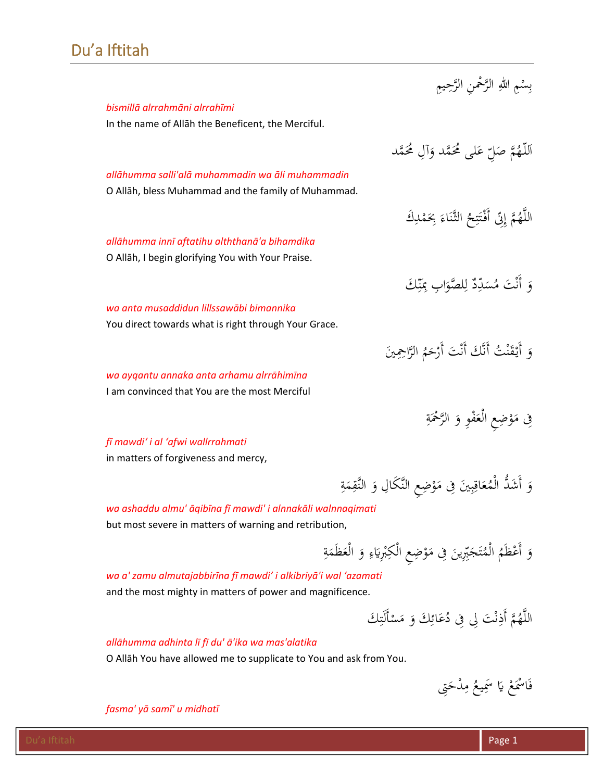# Du'a Iftitah

|                                                                                                         | بِسْمِ اللهِ الرَّحْمنِ الرَّحِيمِ                                       |
|---------------------------------------------------------------------------------------------------------|--------------------------------------------------------------------------|
| bismillā alrrahmāni alrrahīmi                                                                           |                                                                          |
| In the name of Allah the Beneficent, the Merciful.                                                      |                                                                          |
|                                                                                                         | اَللَّهُمَّ صَلِّ عَلَى مُحَمَّد وَآلِ مُحَمَّد                          |
| allāhumma salli'alā muhammadin wa āli muhammadin<br>O Allāh, bless Muhammad and the family of Muhammad. |                                                                          |
|                                                                                                         | اللَّهُمَّ إِنِّ أَفْتَتِحُ الثَّنَاءَ بِحَمْدِكَ                        |
| allāhumma innī aftatihu alththanā'a bihamdika                                                           |                                                                          |
| O Allāh, I begin glorifying You with Your Praise.                                                       |                                                                          |
|                                                                                                         | وَ أَنْتَ مُسَدِّدٌ لِلصَّوَابِ بِمَنِّكَ                                |
| wa anta musaddidun lillssawābi bimannika                                                                |                                                                          |
| You direct towards what is right through Your Grace.                                                    |                                                                          |
|                                                                                                         | وَ أَيْقَنْتُ أَنَّكَ أَنْتَ أَرْحَمُ الرَّاحِمِينَ                      |
| wa ayqantu annaka anta arhamu alrrāhimīna                                                               |                                                                          |
| I am convinced that You are the most Merciful                                                           |                                                                          |
|                                                                                                         | فِی مَوْضِعِ الْعَفْوِ وَ الرَّحْمَةِ                                    |
| fi mawdi' i al 'afwi wallrrahmati                                                                       |                                                                          |
| in matters of forgiveness and mercy,                                                                    |                                                                          |
|                                                                                                         | وَ أَشَدُّ الْمُعَاقِبِينَ فِى مَوْضِعِ النَّكَالِ وَ النَّقِمَةِ        |
| wa ashaddu almu' āqibīna fī mawdi' i alnnakāli walnnaqimati                                             |                                                                          |
| but most severe in matters of warning and retribution,                                                  |                                                                          |
|                                                                                                         | وَ أَعْظَمُ الْمُتَجَبِّرِينَ فِى مَوْضِعِ الْكِبْرِيَاءِ وَ الْعَظَمَةِ |

*wa a' zamu almutajabbirīna fī mawdi' i alkibriyā'i wal 'azamati* and the most mighty in matters of power and magnificence.

> ٍ<br>ۣ اللَّهُمَّ أَذِنْتَ لِى فِى دُعَائِكَ وَ مَسْأَلَتِكَ ْ ِ<br>ئ ن <u>:</u>

*allāhumma adhinta lī fī du' ā'ika wa mas'alatika*  O Allāh You have allowed me to supplicate to You and ask from You.

> فَاسْمَعْ يَا سَمِيعُ مِدْحَتِ<sub>ى</sub> َ ِ

*fasma' yā samī' u midhatī*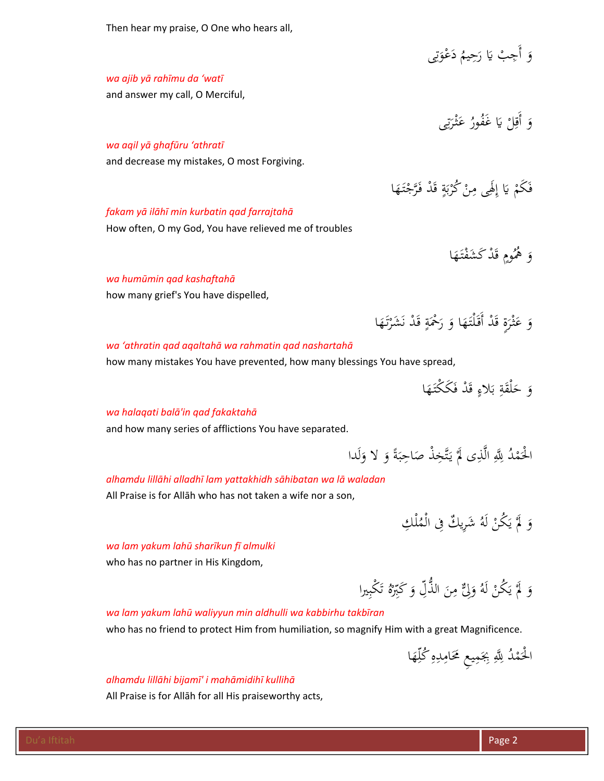Then hear my praise, O One who hears all,

وَ أَجِبْ يَا رَحِيمُ دَعْوَتِي قة<br>تر َ ِ

# *wa ajib yā rahīmu da 'watī*

and answer my call, O Merciful,

وَ أَقِلْ يَا غَفُورُ عَثْرَتِى :<br>يا ر<br>. ً<br>أ

## *wa aqil yā ghafūru 'athratī*

and decrease my mistakes, O most Forgiving.

فَكَمْ يَا إِلَهِى مِنْ كُرْبَةٍ قَدْ فَرَّجْتَهَا َ ب<br>: ب ر<br>( ا

وَ عَثْرَةٍ قَدْ أَقَلْتَهَا وَ رَحْمَةٍ قَدْ نَشَرْتَهَا

َ

َ

َ ر<br>(

#### *fakam yā ilāhī min kurbatin qad farrajtahā*

How often, O my God, You have relieved me of troubles

وَ هُمُومٍ قَدْ كَشَفْتَهَا َ

> ر<br>. َ

#### *wa humūmin qad kashaftahā*

how many grief's You have dispelled,

#### *wa 'athratin qad aqaltahā wa rahmatin qad nashartahā*

how many mistakes You have prevented, how many blessings You have spread,

وَ حَلْقَةِ بَلاءٍ قَدْ فَكَكْتَهَا َ َ

# *wa halaqati balā'in qad fakaktahā*

and how many series of afflictions You have separated.

الْحَمْدُ لِلَّهِ الَّذِى لَمَّ يَتَّخِذْ صَاحِبَةً وَ لا وَلَدا َ  $\ddot{\cdot}$ ت<br>م يا<br>. .<br>.

# *alhamdu lillāhi alladhī lam yattakhidh sāhibatan wa lā waladan*

All Praise is for Allāh who has not taken a wife nor a son,

وَ لَمْ يَكُنْ لَهُ شَرِيكٌ فِى الْمُلْكِ

#### *wa lam yakum lahū sharīkun fī almulki*

who has no partner in His Kingdom,

#### وَ لَمَّ يَكُنْ لَهُ وَلِّئٌ مِنَ الذُّلِّ وَ كَبِّرْهُ تَكْبِيرا َ ا<br>ا ِ<br>بہ

## *wa lam yakum lahū waliyyun min aldhulli wa kabbirhu takbīran*

who has no friend to protect Him from humiliation, so magnify Him with a great Magnificence.

الْحَمْدُ لِلَّهِ بِجَمِيعِ مَحَامِدِهِ كُلِّهَا َ ِِ .<br>.

#### *alhamdu lillāhi bijamī' i mahāmidihī kullihā*

All Praise is for Allāh for all His praiseworthy acts,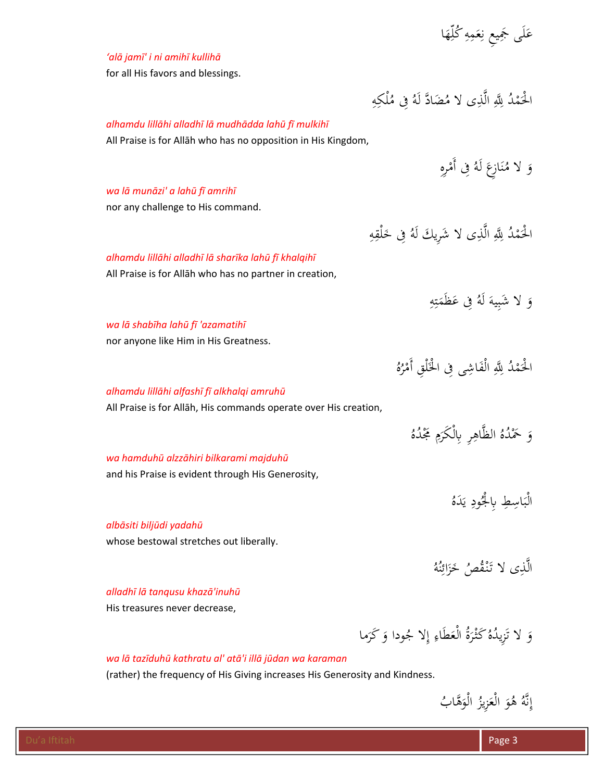عَلَى جَمِيعِ نِعَمِهِ كُلِّهَا َ ِ.<br>ن **ء** 

# *'alā jamī' i ni amihī kullihā*

for all His favors and blessings.

#### ِ الْحَمْدُ لِلَّهِ الَّذِى لا مُضَادَّ لَهُ فِى مُلْكِهِ .<br>.

الْحَمْدُ لِلَّهِ الَّذِى لا شَرِيكَ لَهُ فِى خَلْقِهِ

ِ

# *alhamdu lillāhi alladhī lā mudhādda lahū fī mulkihī*

All Praise is for Allāh who has no opposition in His Kingdom,

ِ وَ لا مُنَازِعَ لَهُ فِى أَمْرِهِ  $\overline{\phantom{a}}$ ن

.<br>.

.<br>.

# *wa lā munāzi' a lahū fī amrihī*

nor any challenge to His command.

# *alhamdu lillāhi alladhī lā sharīka lahū fī khalqihī*

All Praise is for Allāh who has no partner in creation,

ِ ه َم َظ ِفى ع ُ َ لَه ِيه َ لا َشب و  $\ddot{.}$ ت  $\overline{a}$ 

# *wa lā shabīha lahū fī 'azamatihī*

nor anyone like Him in His Greatness.

# *alhamdu lillāhi alfashī fī alkhalqi amruhū*

All Praise is for Allāh, His commands operate over His creation,

وَ حَمْدُهُ الظَّاهِرِ بِالْكَرَمِ مَجْدُهُ **่** َ

يا<br>.

الْحَمْدُ لِلَّهِ الْفَاشِي فِى الْخَلْقِ أَمْرُهُ

:<br>:

# *wa hamduhū alzzāhiri bilkarami majduhū*

and his Praise is evident through His Generosity,

# *albāsiti biljūdi yadahū*

whose bestowal stretches out liberally.

#### الَّذِى لا تَنْقُصُ خَزَائِنُهُ ن ِ<br>ئ

الْبَاسِطِ بِالْجُودِ يَدَهُ

# *alladhī lā tanqusu khazā'inuhū*

His treasures never decrease,

وَ لا تَزِيدُهُ كَثْرَةُ الْعَطَاءِ إِلا جُودا وَ كَرَما ر<br>. نّ

# *wa lā tazīduhū kathratu al' atā'i illā jūdan wa karaman*

(rather) the frequency of His Giving increases His Generosity and Kindness.

نَّهُ هُوَ الْعَزِيزُ الْوَهَّابُ َ **ً** بز<br>و  $\int$ إ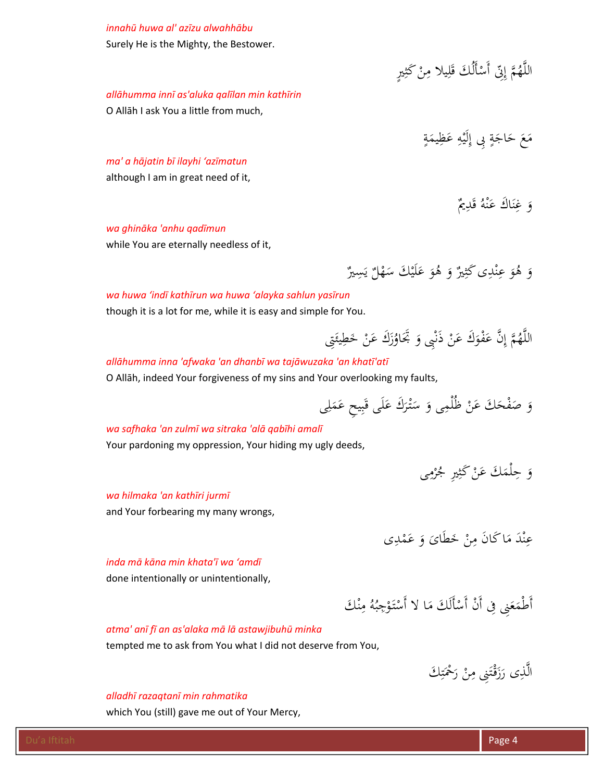# *innahū huwa al' azīzu alwahhābu*

Surely He is the Mighty, the Bestower.

#### اللَّهُمَّ إِنِّ أَسْأَلُكَ قَلِيلاً مِنْ كَثِيرٍ **ٔ** ا

*allāhumma innī as'aluka qalīlan min kathīrin* 

O Allāh I ask You a little from much,

**تة** مَ<mark>عَ حَ</mark>اجَةٍ بِى إِلَيْهِ عَظِيمَةٍ  $\overline{\phantom{a}}$ **∶** ٍ<br>}

*ma' a hājatin bī ilayhi 'azīmatun*  although I am in great need of it,

> وَ غِنَاكَ عَنْهُ قَدِيمٌ ن **ء** ن ِ<br>ِء

#### *wa ghināka 'anhu qadīmun*

while You are eternally needless of it,

وَ هُوَ عِنْدِى كَثِيرٌ وَ هُوَ عَلَيْكَ سَهْلٌ يَسِيرٌ **ء** ه<br>م ِ

# *wa huwa 'indī kathīrun wa huwa 'alayka sahlun yasīrun*

though it is a lot for me, while it is easy and simple for You.

#### $\frac{1}{2}$ اللَّهُمَّ إِنَّ عَفْوَكَ عَنْ ذَنْبِى وَ بَّحَاوُزَكَ عَنْ خَطِيئَتِى ز<br>:

# *allāhumma inna 'afwaka 'an dhanbī wa tajāwuzaka 'an khatī'atī*

O Allāh, indeed Your forgiveness of my sins and Your overlooking my faults,

ِى ل َ َم ِ ِ يح ع ب َ َى ق ل َ َ َك ع ْر تـ َ َ س ِى و ُْلم ْ ظ َن َ َك ع ْح َف َ ص و

## *wa safhaka 'an zulmī wa sitraka 'alā qabīhi amalī*

Your pardoning my oppression, Your hiding my ugly deeds,

وَ حِلْمَكَ عَنْ كَثِيرِ جُرْمِي ر<br>(

#### *wa hilmaka 'an kathīri jurmī*

and Your forbearing my many wrongs,

عِنْدَ مَاكَانَ مِنْ خَطَاىَ وَ عَمْدِى  $\mathcal{A}$ ه<br>^ ِ

#### *inda mā kāna min khata'ī wa 'amdī*

done intentionally or unintentionally,

أَطْمَعَنِي فِي أَنْ أَسْأَلَكَ مَا لا أَسْتَوْجِبُهُ مِنْكَ ن  $\ddot{\phantom{a}}$  $\overline{a}$ **ـ ً**  $\ddot{\phantom{0}}$ 

#### *atma' anī fī an as'alaka mā lā astawjibuhū minka*

tempted me to ask from You what I did not deserve from You,

ٍ<br>ۣ الَّذِى رَزَقْتَنِى مِنْ رَحْمَتِكَ ت  $\ddot{\phantom{0}}$ ;<br>أ ر<br>ا

#### *alladhī razaqtanī min rahmatika*

which You (still) gave me out of Your Mercy,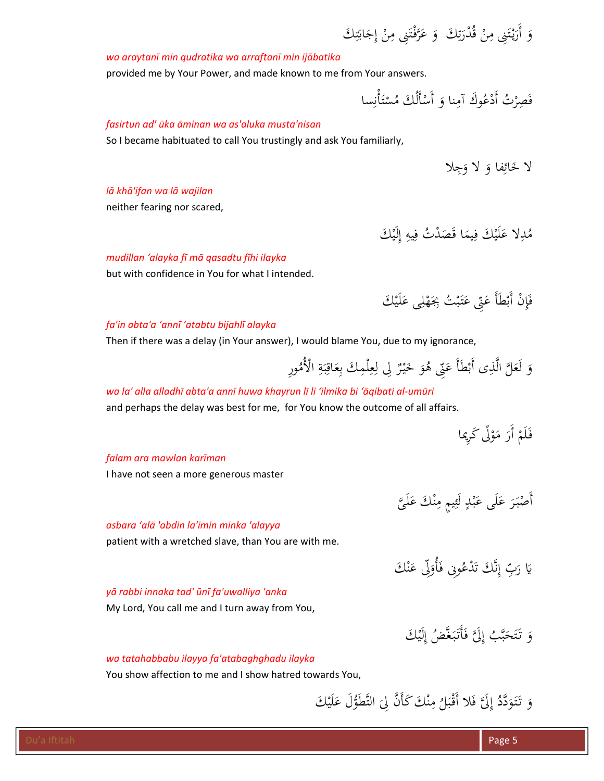ِ َك ت َ ُْدر ْ ق ِن ِنى م َ ت ْ يـ َ ِ َك و َ أَر ت َ َاب ِج ْ إ ِن ِنى م َ ْت َّفـ َر َ ع و

# *wa araytanī min qudratika wa arraftanī min ijābatika*

provided me by Your Power, and made known to me from Your answers.

فَصِرْتُ أَدْعُوكَ آمِنا وَ أَسْأَلُكَ مُسْتَأْنِسا  $\ddot{\phantom{0}}$ ت ْ **ٔ** 

# *fasirtun ad' ūka āminan wa as'aluka musta'nisan*

So I became habituated to call You trustingly and ask You familiarly,

لا ځائِفا وَ لا وَجِلا

# *lā khā'ifan wa lā wajilan*

neither fearing nor scared,

مُدِلاً عَلَيْكَ فِيمَا قَصَدْتُ فِيهِ إِلَيْكَ ٍ<br>م **ء** َ<br>ِم

# *mudillan 'alayka fī mā qasadtu fīhi ilayka*

but with confidence in You for what I intended.

فَإِنْ أَبْطَأَ عَنِّي عَتَبْتُ بِجَهْلِي عَلَيْكَ **ء** €<br></sub> ب  $\ddot{\lambda}$ **ء** 

# *fa'in abta'a 'annī 'atabtu bijahlī alayka*

Then if there was a delay (in Your answer), I would blame You, due to my ignorance,

وَ لَعَلَّ الَّذِى أَبْطَأَ عَنِّى هُوَ خَيْرٌ لِى لِعِلْمِكَ بِعَاقِبَةِ الْأُمُورِ  $\ddot{\cdot}$ ب ِ  $\overline{\phantom{a}}$ ِ ِ<br>ل

**ء** 

ه<br>^  $\ddot{\phantom{a}}$ 

# wa la' alla alladhī abta'a annī huwa khayrun lī li 'ilmika bi 'āgibati al-umūri

and perhaps the delay was best for me, for You know the outcome of all affairs.

فَلَمْ أَرَ مَوْلًى كَرِيما

**ء** 

# *falam ara mawlan karīman*

I have not seen a more generous master

# *asbara 'alā 'abdin la'īmin minka 'alayya*

patient with a wretched slave, than You are with me.

#### يا<br>-يَا رَبِّ إِنَّكَ تَدْعُونِي فَأُوَلِّي عَنْكَ ه<br>^ **ء** بة<br>ف ا

أَصْبَرَ عَلَى عَبْدٍ لَئِيمٍ مِنْكَ عَلَيَّ

ب **ء** 

# *yā rabbi innaka tad' ūnī fa'uwalliya 'anka*

My Lord, You call me and I turn away from You,

وَ تَتَحَبَّبُ إِلَيَّ فَأَتَبَغَّضُ إِلَيْك ٍ<br>} بة<br>بم َ

# *wa tatahabbabu ilayya fa'atabaghghadu ilayka*

You show affection to me and I show hatred towards You,

وَ تَتَوَدَّدُ إِلَيَّ فَلا أَقْبَلُ مِنْكَ كَأَنَّ لِيَ التَّطَوُّلَ عَلَيْكَ **ء** ن  $\overline{a}$ َ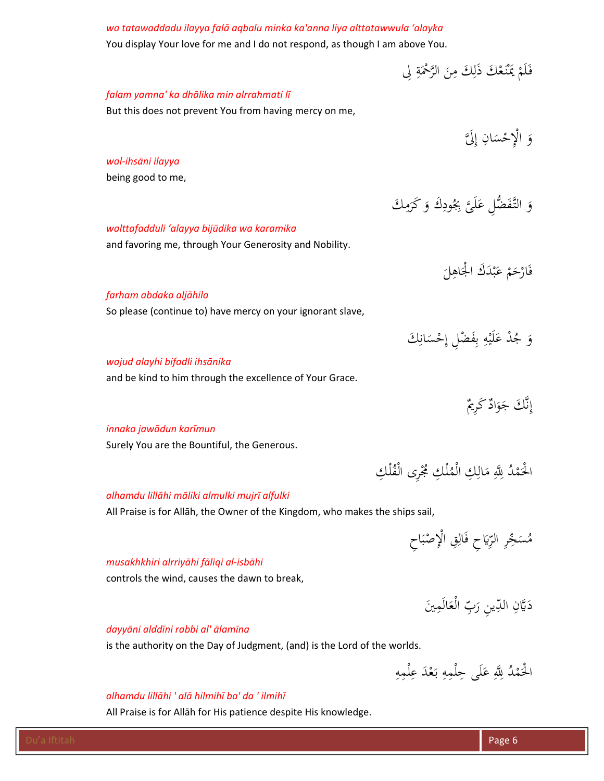# *wa tatawaddadu ilayya falā aqbalu minka ka'anna liya alttatawwula 'alayka* You display Your love for me and I do not respond, as though I am above You. فَلَمْ يَمْنَعْكَ ذَلِكَ مِنَ الرَّحْمَةِ لِى َ ِ *falam yamna' ka dhālika min alrrahmati lī*  But this does not prevent You from having mercy on me, وَ الْإِحْسَانِ إِلَ<mark>َ</mark> *wal‐ihsāni ilayya* being good to me,  $\ddot{\phantom{a}}$ وَ التَّفَضُّلِ عَلَىَّ بِجُودِكَ وَ كَرَمِكَ ر<br>ا <u>بہ</u> **ء** *walttafadduli 'alayya bijūdika wa karamika* and favoring me, through Your Generosity and Nobility.  $\overline{\phantom{0}}$ فَارْحَمْ عَبْدَكَ الْجَاهِلَ<br>\* ه<br>ب **ء** *farham abdaka aljāhila* So please (continue to) have mercy on your ignorant slave, وَ جُدْ عَلَيْهِ بِفَضْلِ إِحْسَانِكَ<br>' .<br>ب **∶ ء** *wajud alayhi bifadli ihsānika* and be kind to him through the excellence of Your Grace.

نَّكَ جَوَادٌ كَرِيمٌ نز<br>ف  $\int$ إ

.<br>.

# *innaka jawādun karīmun*

Surely You are the Bountiful, the Generous.

# *alhamdu lillāhi māliki almulki mujrī alfulki*

All Praise is for Allāh, the Owner of the Kingdom, who makes the ships sail,

مُسَجِّرِ الرِّيَاحِ فَالِقِ الْإِصْبَاحِ ب ْ

الْحَمْدُ لِلَّهِ مَالِكِ الْمُلْكِ مُجْرِى الْفُلْكِ

# *musakhkhiri alrriyāhi fāliqi al‐isbāhi*

controls the wind, causes the dawn to break,

ِدَيَّانِ الدِّينِ رَبِّ الْعَالَمِينَ

# *dayyāni alddīni rabbi al' ālamīna*

is the authority on the Day of Judgment, (and) is the Lord of the worlds.

#### ِ الْحَمْدُ لِلَّهِ عَلَى حِلْمِهِ بَعْدَ عِلْمِهِ ِ ب<br>: **ء** .<br>.

# *alhamdu lillāhi ' alā hilmihī ba' da ' ilmihī*

All Praise is for Allāh for His patience despite His knowledge.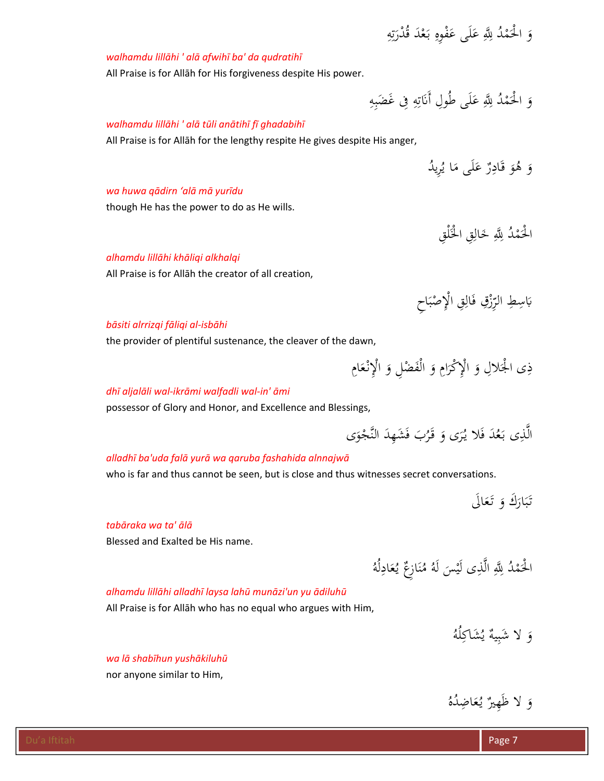ِ وَ الْحَمْدُ لِلَّهِ عَلَى عَفْوِهِ بَعْدَ قُدْرَتِهِ ِ<br>ِن :<br>تە ر<br>ا ب<br>: **ء** .<br>.

# *walhamdu lillāhi ' alā afwihī ba' da qudratihī*

All Praise is for Allāh for His forgiveness despite His power.

ِ وَ الْحَمْدُ لِلَّهِ عَلَى طُولِ أَنَاتِهِ فِى غَضَبِهِ ِ<br>ِن **ء** .<br>.

# *walhamdu lillāhi ' alā tūli anātihī fī ghadabihī*

All Praise is for Allāh for the lengthy respite He gives despite His anger,

وَ هُوَ قَادِرٌ عَلَى مَا يُرِيدُ  $\overline{a}$ **ء** 

#### *wa huwa qādirn 'alā mā yurīdu*

though He has the power to do as He wills.

الْحَمْدُ لِلَّهِ خَالِقِ الْخَلْقِ<br>ا ني<br>أ .<br>.

#### *alhamdu lillāhi khāliqi alkhalqi*

All Praise is for Allāh the creator of all creation,

بَاسِطِ الرِّزْقِ فَالِقِ الْإِصْبَاحِ ب ْ ز<br>ز

## *bāsiti alrrizqi fāliqi al‐isbāhi*

the provider of plentiful sustenance, the cleaver of the dawn,

ذِى الْجَلالِ وَ الْإِكْرَامِ وَ الْفَضْلِ وَ الْإِنْعَامِ **ً** 

### *dhī aljalāli wal‐ikrāmi walfadli wal‐in' āmi*

possessor of Glory and Honor, and Excellence and Blessings,

الَّذِى بَعُدَ فَلا يُرَى وَ قَرُبَ فَشَهِدَ النَّجْوَى ب<br>:

# *alladhī ba'uda falā yurā wa qaruba fashahida alnnajwā*

who is far and thus cannot be seen, but is close and thus witnesses secret conversations.

تَبَارَكَ وَ تَعَالَى

# *tabāraka wa ta' ālā*

Blessed and Exalted be His name.

#### الْحَمْدُ لِلَّهِ الَّذِى لَيْسَ لَهُ مُنَازِعٌ يُعَادِلُهُ <u>بہ</u> ن .<br>.

#### *alhamdu lillāhi alladhī laysa lahū munāzi'un yu ādiluhū*

All Praise is for Allāh who has no equal who argues with Him,

وَ لا شَبِيهٌ يُشَاكِلُهُ ِ

*wa lā shabīhun yushākiluhū* 

nor anyone similar to Him,

وَ لا ظَهِيرٌ يُعَاضِدُهُ َ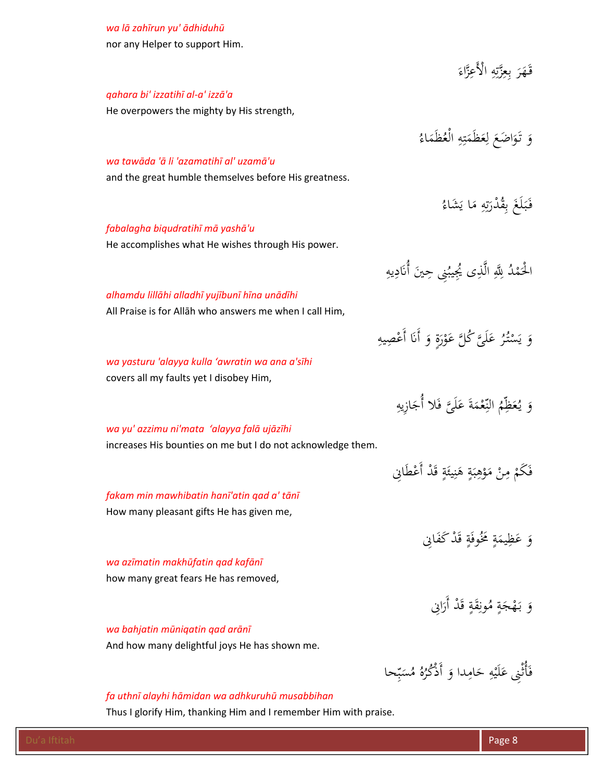# *wa lā zahīrun yu' ādhiduhū*

nor any Helper to support Him.

|                                                             | قَهَرَ بِعِزَّتِهِ الْأَعِزَّاءَ                      |
|-------------------------------------------------------------|-------------------------------------------------------|
| qahara bi' izzatihī al-a' izzā'a                            |                                                       |
| He overpowers the mighty by His strength,                   |                                                       |
|                                                             |                                                       |
|                                                             | وَ تَوَاضَعَ لِعَظَمَتِهِ الْعُظَمَاءُ                |
| wa tawāda 'ā li 'azamatihī al' uzamā'u                      |                                                       |
| and the great humble themselves before His greatness.       |                                                       |
|                                                             | فَبَلَغَ بِقُدْرَتِهِ مَا يَشَاءُ                     |
|                                                             |                                                       |
| fabalagha biqudratihī mā yashā'u                            |                                                       |
| He accomplishes what He wishes through His power.           |                                                       |
|                                                             | الْحَمْدُ لِلَّهِ الَّذِى يُجِيبُنِي حِينَ أَنَادِيهِ |
| alhamdu lillāhi alladhī yujībunī hīna unādīhi               |                                                       |
| All Praise is for Allah who answers me when I call Him,     |                                                       |
|                                                             |                                                       |
|                                                             | وَ يَسْتُرُ عَلَيَّ كُلَّ عَوْرَةٍ وَ أَنَا أَعْصِيهِ |
| wa yasturu 'alayya kulla 'awratin wa ana a'sīhi             |                                                       |
| covers all my faults yet I disobey Him,                     |                                                       |
|                                                             | وَ يُعَظِّمُ النِّعْمَةَ عَلَيَّ فَلا أُجَازِيهِ      |
|                                                             |                                                       |
| wa yu' azzimu ni'mata 'alayya falā ujāzīhi                  |                                                       |
| increases His bounties on me but I do not acknowledge them. |                                                       |
|                                                             | فَكَمْ مِنْ مَوْهِبَةٍ هَنِيئَةٍ قَدْ أَعْطَانِي      |
| fakam min mawhibatin hanī'atin qad a' tānī                  |                                                       |
| How many pleasant gifts He has given me,                    |                                                       |
|                                                             |                                                       |
|                                                             | وَ عَظِيمَةٍ مَخُوفَةٍ قَدْ كَفَانِي                  |
| wa azīmatin makhūfatin qad kafānī                           |                                                       |
| how many great fears He has removed,                        |                                                       |
|                                                             | وَ بَهْجَةٍ مُونِقَةٍ قَدْ أَرَانِي                   |
|                                                             |                                                       |
| wa bahjatin mūniqatin qad arānī                             |                                                       |
| And how many delightful joys He has shown me.               |                                                       |
|                                                             | فَأَتْنِي عَلَيْهِ حَامِدا وَ أَذْكُرُهُ مُسَبِّحا    |
|                                                             |                                                       |

# *fa uthnī alayhi hāmidan wa adhkuruhū musabbihan*

Thus I glorify Him, thanking Him and I remember Him with praise.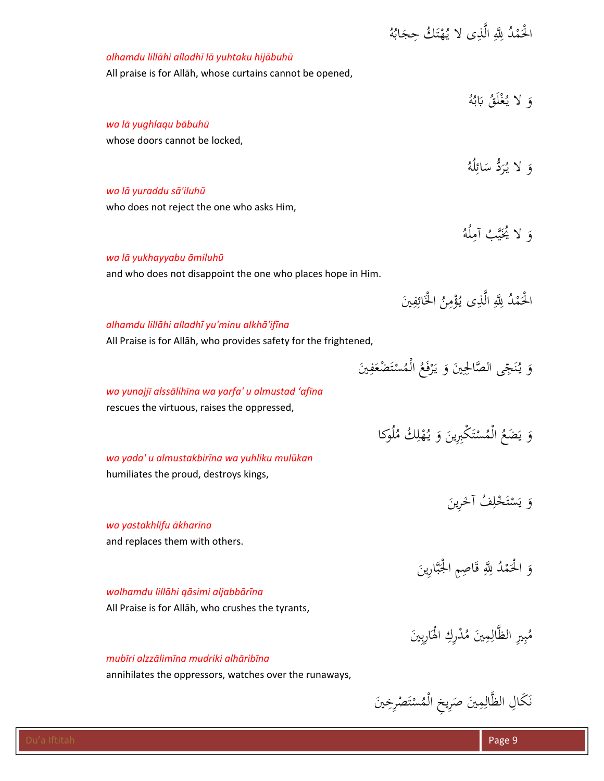| الْحَمْدُ لِلَّهِ الَّذِى لا يُهْتَلُ حِجَابُهُ                  |
|------------------------------------------------------------------|
| alhamdu lillāhi alladhī lā yuhtaku hijābuhū                      |
| All praise is for Allah, whose curtains cannot be opened,        |
|                                                                  |
| وَ لا يُغْلَقُ بَابُهُ                                           |
| wa lā yughlaqu bābuhū                                            |
| whose doors cannot be locked,                                    |
| وَ لا يُرَدُّ سَائِلُهُ                                          |
|                                                                  |
| wa lā yuraddu sā'iluhū                                           |
| who does not reject the one who asks Him,                        |
| وَ لا يُخَيَّبُ آمِلُهُ                                          |
| wa lā yukhayyabu āmiluhū                                         |
| and who does not disappoint the one who places hope in Him.      |
|                                                                  |
| الْحَمْدُ لِلَّهِ الَّذِي يُؤْمِنُ الْخَائِفِينَ                 |
| alhamdu lillāhi alladhī yu'minu alkhā'ifīna                      |
| All Praise is for Allah, who provides safety for the frightened, |
| وَ يُنَجِّى الصَّالِحِينَ وَ يَرْفَعُ الْمُسْتَضْعَفِينَ         |
|                                                                  |
| wa yunajjī alssālihīna wa yarfa' u almustad 'afīna               |
| rescues the virtuous, raises the oppressed,                      |
| وَ يَضَعُ الْمُسْتَكْبِرِينَ وَ يُهْلِكُ مُلُوكا                 |
| wa yada' u almustakbirīna wa yuhliku mulūkan                     |
| humiliates the proud, destroys kings,                            |
|                                                                  |
| وَ يَسْتَخْلِفُ آخَرِينَ                                         |
| wa yastakhlifu ākharīna                                          |
| and replaces them with others.                                   |
| وَ الْحَمْدُ لِلَّهِ قَاصِمِ الْجَبَّارِينَ                      |
|                                                                  |
| walhamdu lillāhi qāsimi aljabbārīna                              |
| All Praise is for Allāh, who crushes the tyrants,                |
| مُبِيرِ الظَّالِمِينَ مُدْرِكِ الْهَارِبِينَ                     |
| mubīri alzzālimīna mudriki alhāribīna                            |
| annihilates the oppressors, watches over the runaways,           |
|                                                                  |
| نَكَالِ الظَّالِمِينَ صَرِيخِ الْمُسْتَصْرِخِينَ                 |
|                                                                  |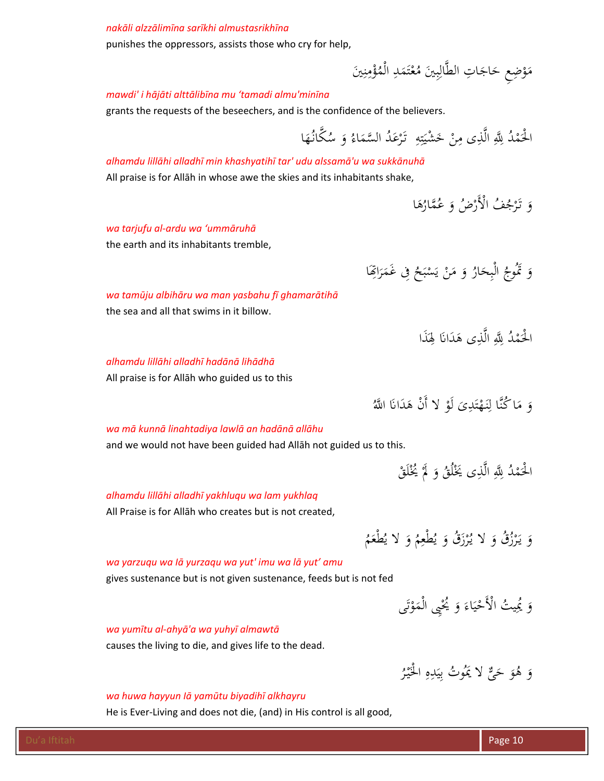#### *nakāli alzzālimīna sarīkhi almustasrikhīna*

punishes the oppressors, assists those who cry for help,

#### مَوْضِعِ حَاجَاتِ الطَّالِبِينَ مُعْتَمَدِ الْمُؤْمِنِينَ <u>;</u> نز  $\overline{a}$ ت ْ  $\ddot{\cdot}$ ب ِ ْ

#### *mawdi' i hājāti alttālibīna mu 'tamadi almu'minīna*

grants the requests of the beseechers, and is the confidence of the believers.

ِ الْحَمْدُ لِلَّهِ الَّذِى مِنْ خَشْيَتِهِ ۚ تَرْعَدُ السَّمَاءُ وَ سُكَّانُهَا <u>بر</u> ت ؞

*alhamdu lillāhi alladhī min khashyatihī tar' udu alssamā'u wa sukkānuhā*  All praise is for Allāh in whose awe the skies and its inhabitants shake,

> وَ تَرْجُفُ الْأَرْضُ وَ عُمَّارُهَا َ

*wa tarjufu al‐ardu wa 'ummāruhā* 

the earth and its inhabitants tremble,

وَ تَمُوجُ الْبِحَارُ وَ مَنْ يَسْبَحُ فِى غَمَرَاتِهَا ر<br>ن  $\ddot{\hat{\mathbf{s}}}$ ب ْ

*wa tamūju albihāru wa man yasbahu fī ghamarātihā* 

the sea and all that swims in it billow.

الْحَمْدُ لِلَّهِ الَّذِى هَدَانَا لِهَذَا ِ .<br>.

*alhamdu lillāhi alladhī hadānā lihādhā* 

All praise is for Allāh who guided us to this

وَ مَا كُنَّا لِنَهْتَدِىَ لَوْ لا أَنْ هَدَانَا اللَّهُ ت ْ  $\overline{a}$ 

## *wa mā kunnā linahtadiya lawlā an hadānā allāhu*

and we would not have been guided had Allāh not guided us to this.

:<br>-الْحَمْدُ لِلَّهِ الَّذِى يَخْلُقُ وَ لَمَّ يُخْلَقْ .<br>.<br>. .<br>.<br>. .<br>.

#### *alhamdu lillāhi alladhī yakhluqu wa lam yukhlaq*

All Praise is for Allāh who creates but is not created,

#### وَ يَرْزُقُ وَ لا يُرْزَقُ وَ يُطْعِمُ وَ لا يُطْعَمُ ر<br>( ر<br>( يا<br>. و<br>يو

#### *wa yarzuqu wa Iā yurzaqu wa yut' imu wa lā yut' amu*

gives sustenance but is not given sustenance, feeds but is not fed

وَ يُمِيتُ الْأَحْيَاءَ وَ يُحْيِي الْمَوْتَى ت ْ ْ ي ْ

وَ هُوَ حَيٌّ لا يَمُوتُ بِيَدِهِ الْخَيْرُ

قيا<br>أ ِِ ي ِ<br>ب

#### *wa yumītu al‐ahyā'a wa yuhyī almawtā*

causes the living to die, and gives life to the dead.

#### *wa huwa hayyun Iā yamūtu biyadihī alkhayru*

He is Ever-Living and does not die, (and) in His control is all good,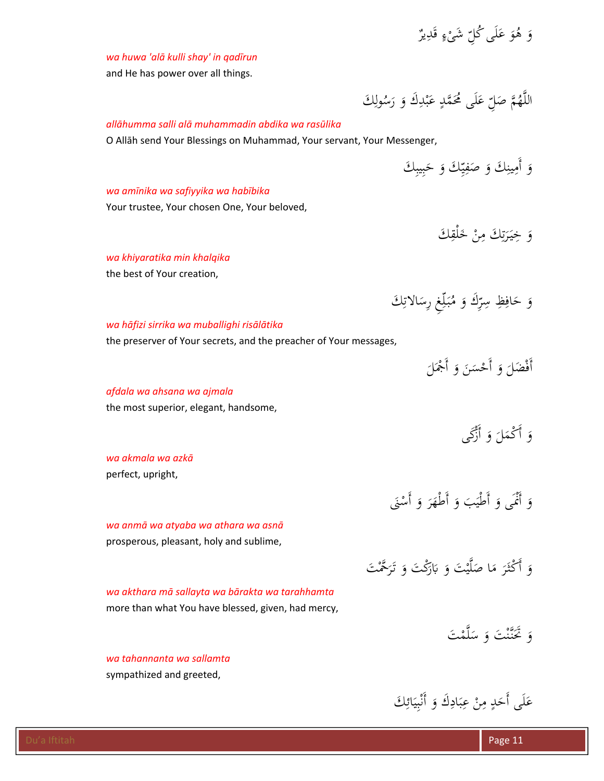**ء** 

# *wa huwa 'alā kulli shay' in qadīrun*

and He has power over all things.

# *allāhumma salli alā muhammadin abdika wa rasūlika*

O Allāh send Your Blessings on Muhammad, Your servant, Your Messenger,

ِوَ أَمِينِكَ وَ صَفِيِّكَ وَ حَبِيبِكَ ب َ س<br>ِ^ ي ِ.<br>م ڹ

اللَّهُمَّ صَلِّ عَلَى مُحَمَّدٍ عَبْدِكَ وَ رَسُولِكَ

ِ ب **ء** 

ِ

َ

# *wa amīnika wa safiyyika wa habībika*

Your trustee, Your chosen One, Your beloved,

.<br>م وَ خِيَرَتِكَ مِنْ خَلْقِكَ ِ<br>ن ة<br>تر ر<br>.

# *wa khiyaratika min khalqika*

the best of Your creation,

#### ِ<br>نِ وَ حَافِظِ سِرِّكَ وَ مُبَلِّغٍ رِسَالاتِكَ ٳٚ  $\ddot{\cdot}$

# *wa hāfizi sirrika wa muballighi risālātika*

the preserver of Your secrets, and the preacher of Your messages,

وَ أَكْمَلَ وَ أَزَّكَى

# *afdala wa ahsana wa ajmala*

the most superior, elegant, handsome,

*wa akmala wa azkā*  perfect, upright,

*wa anmā wa atyaba wa athara wa asnā*  prosperous, pleasant, holy and sublime,

وَ أَكْثَرَ مَا صَلَّيْتَ وَ بَارَكْتَ وَ تَرَحَّمْتَ  $\dot{\phantom{a}}$ *wa akthara mā sallayta wa bārakta wa tarahhamta* 

more than what You have blessed, given, had mercy,

*wa tahannanta wa sallamta* sympathized and greeted,

> ِ<br>ئ عَلَى أَحَدٍ مِنْ عِبَادِكَ وَ أَنْبِيَائِكَ ب ز<br>: ِ ب ِ **ء**

وَ أَنْمَى وَ أَطْيَبَ وَ أَطْهَرَ وَ أَسْنَى

ي  $\ddot{\phantom{0}}$  $\mathcal{A}$ 

وَ تَحَنَّنْتَ وَ سَلَّمْتَ  $\ddot{\phantom{0}}$ 

 $\overline{\phantom{a}}$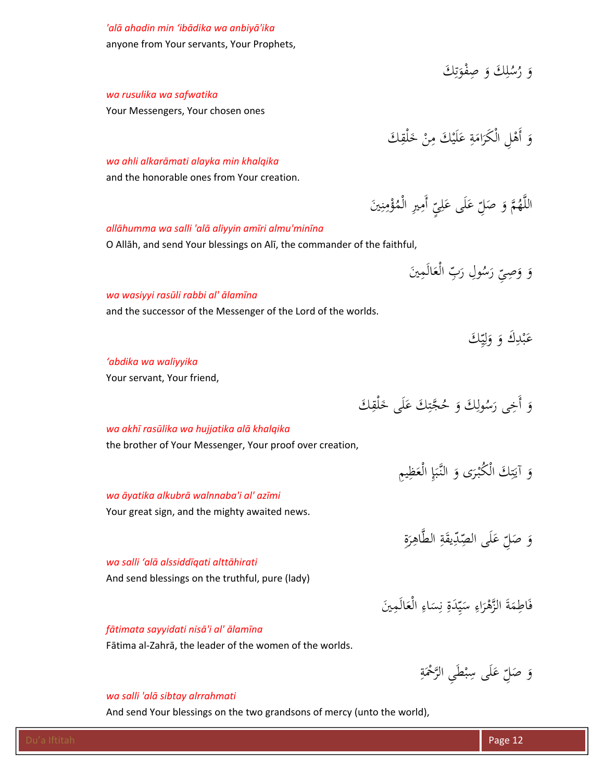# *'alā ahadin min 'ibādika wa anbiyā'ika*

anyone from Your servants, Your Prophets,

وَ رُسُلِكَ وَ صِفْوَتِكَ ِ<br>ِن ة<br>م َ ِ

# *wa rusulika wa safwatika*

Your Messengers, Your chosen ones

#### *wa ahli alkarāmati alayka min khalqika*

and the honorable ones from Your creation.

# *allāhumma wa salli 'alā aliyyin amīri almu'minīna*

O Allāh, and send Your blessings on Alī, the commander of the faithful,

ِ<br>م َين َالَم ْع ِ ال َ ّب ُ ِول ر َس ِ ر  $\zeta$ ِصى َ و و َ

> ِ<br>پر عَبْدِكَ وَ وَلِيِّكَ ي ِ<br>ل ا َ

ِ ه<br>ب **ء** 

**ء** 

اللَّهُمَّ وَ صَلِّ عَلَى عَلِيِّ

وَ أَهْلِ الْكَرَامَةِ عَلَيْكَ مِنْ خَلْقِكَ **ء**  $\overline{a}$ 

## *wa wasiyyi rasūli rabbi al' ālamīna*

and the successor of the Messenger of the Lord of the worlds.

*'abdika wa waliyyika* 

Your servant, Your friend,

.<br>ق وَ أَخِي رَسُولِكَ وَ حُجَّتِكَ عَلَى خَلْقِكَ **ء** <u>بر</u> ٍ<br>ا

ِ

ِّ أَمِيرِ الْمُؤْمِنِينَ<br>ِ

پا

َ

ڹ نذ  $\ddot{\phantom{a}}$ 

## *wa akhī rasūlika wa hujjatika alā khalqika*

*wa āyatika alkubrā walnnaba'i al' azīmi*

the brother of Your Messenger, Your proof over creation,

وَ آيَتِكَ الْكُبْرَى وَ النَّبَإِ الْعَظِيمِ  $\ddot{\cdot}$ ٍ<br>ۣ **تنبذا** يا<br>.

 $\ddot{\circ}$ وَ صَلِّ عَلَى الصِّدِّيقَةِ الطَّاهِرَةِ ر<br>. ِ<br>پ **ء** 

فَاطِمَةَ الزَّهْرَاءِ سَيِّدَةِ نِسَاءِ الْعَالَمِينَ ي  $\ddot{\phantom{0}}$ 

ِ

#### *wa salli 'alā alssiddīqati alttāhirati*

And send blessings on the truthful, pure (lady)

Your great sign, and the mighty awaited news.

#### *fātimata sayyidati nisā'i al' ālamīna*

Fātima al‐Zahrā, the leader of the women of the worlds.

<u>تة</u> وَ صَلِّ عَلَى سِبْطَيِ الرَّحْمَةِ َ **ء** 

## *wa salli 'alā sibtay alrrahmati*

And send Your blessings on the two grandsons of mercy (unto the world),

ٍ<br>م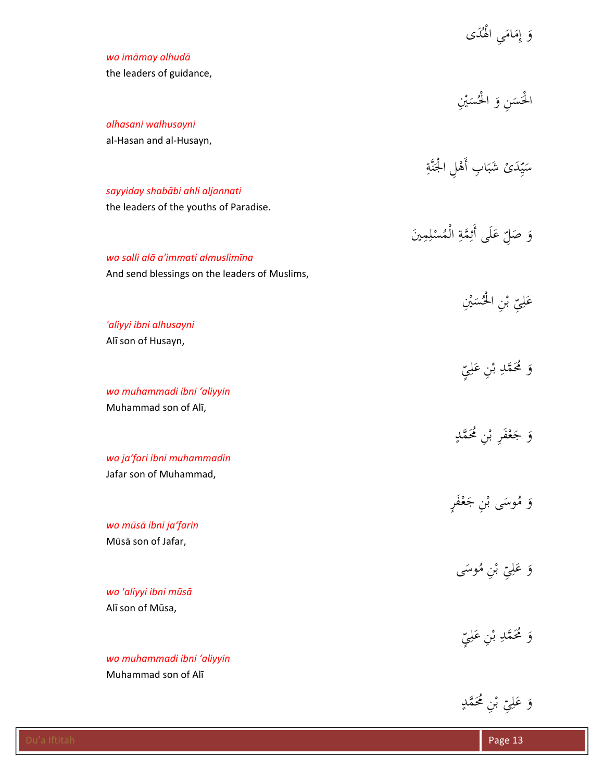|                                               | وَ إِمَامَىِ الْهُدَى                   |
|-----------------------------------------------|-----------------------------------------|
| wa imāmay alhudā                              |                                         |
| the leaders of guidance,                      |                                         |
|                                               |                                         |
|                                               | الْحَسَنِ وَ الْحُسَيْنِ                |
| alhasani walhusayni                           |                                         |
| al-Hasan and al-Husayn,                       |                                         |
|                                               | سَيِّدَىْ شَبَابِ أَهْلِ الْجَنَّةِ     |
|                                               |                                         |
| sayyiday shabābi ahli aljannati               |                                         |
| the leaders of the youths of Paradise.        |                                         |
|                                               | وَ صَلِّ عَلَى أَئِمَّةِ الْمُسْلِمِينَ |
| wa salli alā a'immati almuslimīna             |                                         |
| And send blessings on the leaders of Muslims, |                                         |
|                                               |                                         |
|                                               | عَلِيّ بْنِ الْحُسَيْنِ                 |
| 'aliyyi ibni alhusayni                        |                                         |
| Alī son of Husayn,                            |                                         |
|                                               |                                         |
|                                               | وَ مُحَمَّدِ بْنِ عَلِيِّ               |
| wa muhammadi ibni 'aliyyin                    |                                         |
| Muhammad son of Alī,                          |                                         |
|                                               |                                         |
|                                               | وَ جَعْفَرِ بْنِ مُحَمَّدٍ              |
| wa ja'fari ibni muhammadin                    |                                         |
| Jafar son of Muhammad,                        |                                         |
|                                               | وَ مُوسَى بْنِ جَعْفَرٍ                 |
|                                               |                                         |
| wa mūsā ibni ja'farin<br>Mūsā son of Jafar,   |                                         |
|                                               |                                         |
|                                               | وَ عَلِيّ بْنِ مُوسَى                   |
| wa 'aliyyi ibni mūsā                          |                                         |
| Alī son of Mūsa,                              |                                         |
|                                               |                                         |
|                                               | وَ مُحَمَّدِ بْنِ عَلِيِّ               |
| wa muhammadi ibni 'aliyyin                    |                                         |
| Muhammad son of Alī                           |                                         |
|                                               |                                         |

.<br>ب

ِّ بْنِ مُحَمَّدٍ<br>ِ <u>ب</u><br>. با ِى ل َ ع و**ء**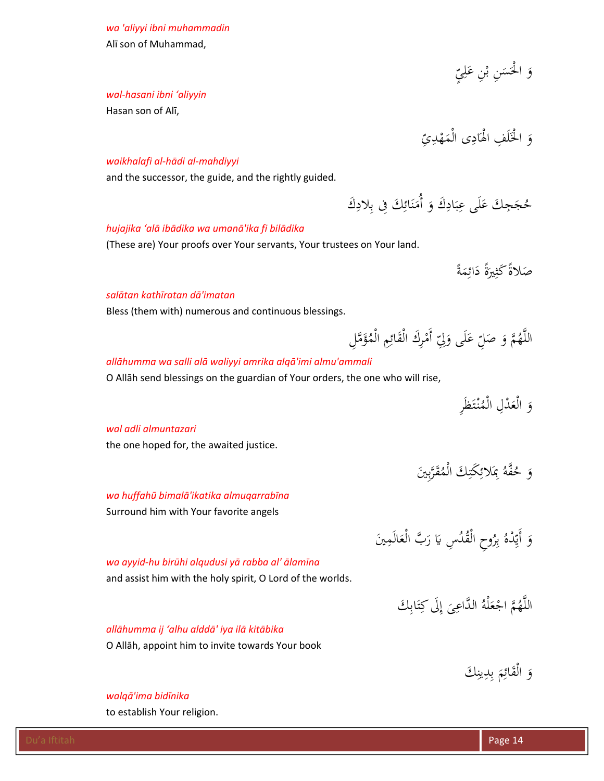*wa 'aliyyi ibni muhammadin*  Alī son of Muhammad,

*wal‐hasani ibni 'aliyyin* 

Hasan son of Alī,

ٍ<br>ب با وَ الْحَسَنِ بْنِ عَلِيِّ **ء** <u>ب</u><br>.  $\ddot{\phantom{0}}$ 

ِ<br>با وَ الْخَلَفِ الْهَادِى الْمَهْدِيِّ :<br>:

#### *waikhalafi al‐hādi al‐mahdiyyi*

and the successor, the guide, and the rightly guided.

#### *hujajika 'alā ibādika wa umanā'ika fi bilādika*

(These are) Your proofs over Your servants, Your trustees on Your land.

*a* صَلاةً كَثِيرَةً دَائِمَةً ٍ<br>م  $\overline{\phantom{a}}$ 

**ء** 

ِ

#### *salātan kathīratan dā'imatan*

Bless (them with) numerous and continuous blessings.

اللَّهُمَّ وَ صَلِّ عَلَى وَلِّيَّ أَمْرِكَ الْقَائِمِ الْمُؤَمَّلِ  $\overline{\phantom{a}}$ َ **ء** 

حُجَجِكَ عَلَى عِبَادِكَ وَ أُمَنَائِكَ فِي بِلادِكَ <u>بہ</u> ب ِ

ِ<br>ئِ ن  $\mathcal{A}$ 

#### *allāhumma wa salli alā waliyyi amrika alqā'imi almu'ammali*

O Allāh send blessings on the guardian of Your orders, the one who will rise,

َِر َظ ْت نـ ُ ْم َ ْدِل ال ْع َ ال و

 $\ddot{\cdot}$ 

ِ<br>بِ

وَ حُفَّهُ بِمَلائِكَتِكَ الْمُقَرَّبِينَ ٍ<br>ۣ

اللَّهُمَّ اجْعَلْهُ الدَّاعِيَ إِلَى كِتَابِكَ

# *wal adli almuntazari*

the one hoped for, the awaited justice.

*wa huffahū bimalā'ikatika almuqarrabīna* 

Surround him with Your favorite angels

# ِ<br>م وَ أَيِّدْهُ بِرُوحِ الْقُدُسِ يَا رَبَّ الْعَالَمِينَ

ِ<br>ب

ت ِ

# *wa ayyid‐hu birūhi alqudusi yā rabba al' ālamīna*

and assist him with the holy spirit, O Lord of the worlds.

# *allāhumma ij 'alhu alddā' iya ilā kitābika*

O Allāh, appoint him to invite towards Your book

ِوَ الْقَائِمَ بِدِينِكَ

**ً** 

### *walqā'ima bidīnika*

to establish Your religion.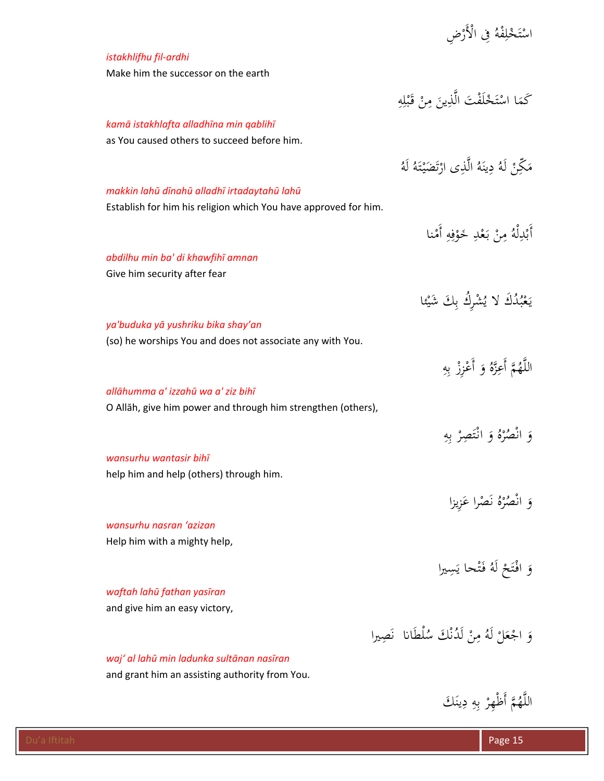|                                                                   | اسْتَخْلِفْهُ فِي الْأَرْضِ                       |
|-------------------------------------------------------------------|---------------------------------------------------|
| istakhlifhu fil-ardhi                                             |                                                   |
| Make him the successor on the earth                               |                                                   |
|                                                                   |                                                   |
|                                                                   | كَمَا اسْتَخْلَفْتَ الَّذِينَ مِنْ قَبْلِهِ       |
| kamā istakhlafta alladhīna min qablihī                            |                                                   |
| as You caused others to succeed before him.                       |                                                   |
|                                                                   | مَكِّنْ لَهُ دِينَهُ الَّذِي ارْتَضَيْتَهُ لَهُ   |
|                                                                   |                                                   |
| makkin lahū dīnahū alladhī irtadaytahū lahū                       |                                                   |
| Establish for him his religion which You have approved for him.   |                                                   |
|                                                                   | أَبْدِلْهُ مِنْ بَعْدِ خَوْفِهِ أَمْنا            |
| abdilhu min ba' di khawfihī amnan                                 |                                                   |
| Give him security after fear                                      |                                                   |
|                                                                   |                                                   |
|                                                                   | يَعْبُدُكَ لا يُشْرِكُ بِكَ شَيْئًا               |
| ya'buduka yā yushriku bika shay'an                                |                                                   |
| (so) he worships You and does not associate any with You.         |                                                   |
|                                                                   | اللَّهُمَّ أَعِزَّهُ وَ أَعْزِزْ بِهِ             |
|                                                                   |                                                   |
| allāhumma a' izzahū wa a' ziz bihī                                |                                                   |
| O Allāh, give him power and through him strengthen (others),      |                                                   |
|                                                                   | وَ انْصُرْهُ وَ انْتَصِرْ بِهِ                    |
|                                                                   |                                                   |
| wansurhu wantasir bihī<br>help him and help (others) through him. |                                                   |
|                                                                   |                                                   |
|                                                                   | وَ انْصُرْهُ نَصْراً عَزِيزاً                     |
| wansurhu nasran 'azizan                                           |                                                   |
| Help him with a mighty help,                                      |                                                   |
|                                                                   |                                                   |
|                                                                   | وَ افْتَحْ لَهُ فَنْحا يَسِيرا                    |
| waftah lahū fathan yasīran                                        |                                                   |
| and give him an easy victory,                                     |                                                   |
|                                                                   | وَ اجْعَلْ لَهُ مِنْ لَدُنْكَ سُلْطَانا ۖ نَصِيرا |
| waj' al lahū min ladunka sultānan nasīran                         |                                                   |
| and grant him an assisting authority from You.                    |                                                   |
|                                                                   |                                                   |

اللَّهُمَّ أَظْهِرْ بِهِ دِينَكَ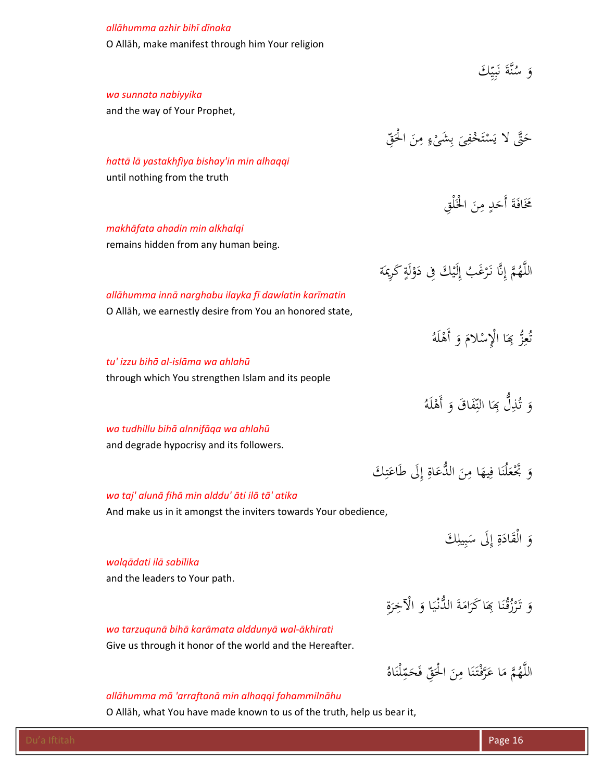| allāhumma azhir bihī dīnaka                                                      |                                                           |
|----------------------------------------------------------------------------------|-----------------------------------------------------------|
| O Allāh, make manifest through him Your religion                                 |                                                           |
|                                                                                  | وَ سُنَّةَ نَبِيِّكَ                                      |
|                                                                                  |                                                           |
| wa sunnata nabiyyika                                                             |                                                           |
| and the way of Your Prophet,                                                     |                                                           |
|                                                                                  | حَتَّى لا يَسْتَخْفِىَ بِشَيْءٍ مِنَ الْحَقّ              |
| hattā lā yastakhfiya bishay'in min alhaqqi                                       |                                                           |
| until nothing from the truth                                                     |                                                           |
|                                                                                  |                                                           |
|                                                                                  | مَخَافَةَ أَحَدٍ مِنَ الْخَلْقِ                           |
| makhāfata ahadin min alkhalqi                                                    |                                                           |
| remains hidden from any human being.                                             |                                                           |
|                                                                                  | اللَّهُمَّ إِنَّا نَرْغَبُ إِلَيْكَ فِي دَوْلَةٍ كَرِيمَة |
| allāhumma innā narghabu ilayka fī dawlatin karīmatin                             |                                                           |
| O Allāh, we earnestly desire from You an honored state,                          |                                                           |
|                                                                                  |                                                           |
|                                                                                  | تُعِزُّ بِمَا الْإِسْلامَ وَ أَهْلَهُ                     |
| tu' izzu bihā al-islāma wa ahlahū                                                |                                                           |
| through which You strengthen Islam and its people                                |                                                           |
|                                                                                  | هَ   تُّذِلُّ بِمَا  النِّفَاقَ  وَ  أَهْلَهُ             |
|                                                                                  |                                                           |
| wa tudhillu bihā alnnifāga wa ahlahū<br>and degrade hypocrisy and its followers. |                                                           |
|                                                                                  |                                                           |
|                                                                                  | وَ بَخْعَلْنَا فِيهَا مِنَ الدُّعَاةِ إِلَى طَاعَتِكَ     |
| wa taj' alunā fihā min alddu' āti ilā tā' atika                                  |                                                           |
| And make us in it amongst the inviters towards Your obedience,                   |                                                           |
|                                                                                  | وَ الْقَادَةِ إِلَى سَبِيلِكَ                             |
|                                                                                  |                                                           |
| walqādati ilā sabīlika                                                           |                                                           |
| and the leaders to Your path.                                                    |                                                           |
|                                                                                  | وَ تَرْزُقُنَا بِمَا كَرَامَةَ الدُّنْيَا وَ الْآخِرَة    |
| wa tarzuqunā bihā karāmata alddunyā wal-ākhirati                                 |                                                           |
| Give us through it honor of the world and the Hereafter.                         |                                                           |
|                                                                                  |                                                           |

# *allāhumma mā 'arraftanā min alhaqqi fahammilnāhu*

O Allāh, what You have made known to us of the truth, help us bear it,

 $\overline{a}$ 

اللَّهُمَّ مَا عَرَّفْتَنَا مِنَ الْحَقِّ فَحَمِّلْنَاهُ

.<br>. ن ;<br>أ

ِ<br>م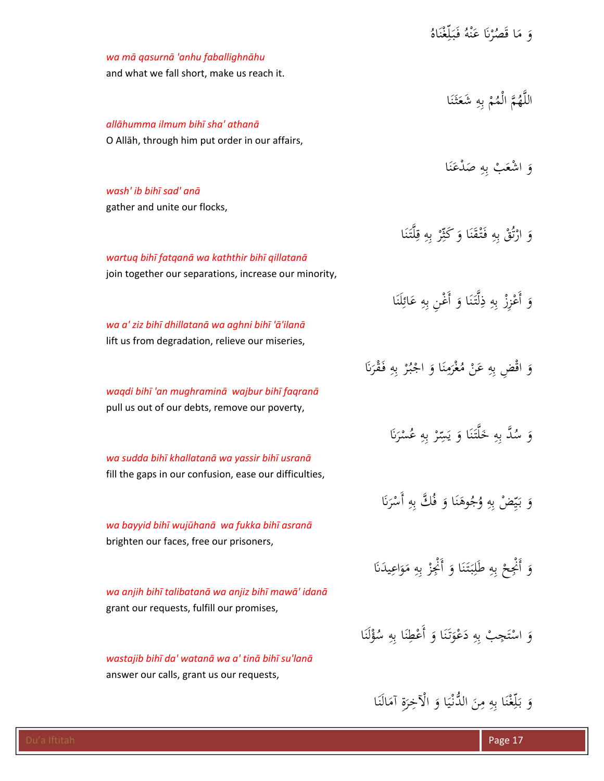|                                                                                                 | وَ مَا قَصُرْنَا عَنْهُ فَبَلِّغْنَاهُ                      |
|-------------------------------------------------------------------------------------------------|-------------------------------------------------------------|
| wa mā qasurnā 'anhu faballighnāhu                                                               |                                                             |
| and what we fall short, make us reach it.                                                       |                                                             |
|                                                                                                 |                                                             |
|                                                                                                 | اللَّهُمَّ الْمُمْ بِهِ شَعَثَنَا                           |
| allāhumma ilmum bihī sha' athanā                                                                |                                                             |
| O Allāh, through him put order in our affairs,                                                  |                                                             |
|                                                                                                 | وَ اشْعَبْ بِهِ صَدْعَنَا                                   |
| wash' ib bihī sad' anā                                                                          |                                                             |
| gather and unite our flocks,                                                                    |                                                             |
|                                                                                                 |                                                             |
|                                                                                                 | وَ ارْتُقْ بِهِ فَتْقَنَا وَ كَثِّرْ بِهِ قِلَّتَنَا        |
| wartuq bihī fatqanā wa kaththir bihī qillatanā                                                  |                                                             |
| join together our separations, increase our minority,                                           |                                                             |
|                                                                                                 |                                                             |
|                                                                                                 | وَ أَعْزِزْ بِهِ ذِلَّتَنَا وَ أَغْنِ بِهِ عَائِلَنَا       |
| wa a' ziz bihī dhillatanā wa aghni bihī 'ā'ilanā                                                |                                                             |
| lift us from degradation, relieve our miseries,                                                 |                                                             |
|                                                                                                 | وَ اقْضٍ بِهِ عَنْ مُغْرَمِنَا وَ اجْبُرْ بِهِ فَقْرَنَا    |
|                                                                                                 |                                                             |
| waqdi bihī 'an mughraminā wajbur bihī faqranā<br>pull us out of our debts, remove our poverty,  |                                                             |
|                                                                                                 |                                                             |
|                                                                                                 | وَ سُكَّ بِهِ خَلَّتَنَا وَ يَسِّرْ بِهِ عُسْرَنَا          |
| wa sudda bihī khallatanā wa yassir bihī usranā                                                  |                                                             |
| fill the gaps in our confusion, ease our difficulties,                                          |                                                             |
|                                                                                                 |                                                             |
|                                                                                                 | وَ بَيِّضْ بِهِ وُجُوهَنَا وَ فُكَّ بِهِ أَسْرَنَا          |
| wa bayyid bihī wujūhanā wa fukka bihī asranā                                                    |                                                             |
| brighten our faces, free our prisoners,                                                         |                                                             |
|                                                                                                 | وَ أَنْجِعْ بِهِ طَلِبَتَنَا وَ أَنْجِزْ بِهِ مَوَاعِيدَنَا |
|                                                                                                 |                                                             |
| wa anjih bihī talibatanā wa anjiz bihī mawā' idanā<br>grant our requests, fulfill our promises, |                                                             |
|                                                                                                 |                                                             |
|                                                                                                 | وَ اسْتَجِبْ بِهِ دَعْوَتَنَا وَ أَعْطِنَا بِهِ سُؤْلَنَا   |
| wastajib bihī da' watanā wa a' tinā bihī su'lanā                                                |                                                             |
| answer our calls, grant us our requests,                                                        |                                                             |
|                                                                                                 |                                                             |
|                                                                                                 | وَ بَلِّغْنَا بِهِ مِنَ الدُّنْيَا وَ الْآخِرَةِ آمَالَنَا  |
|                                                                                                 |                                                             |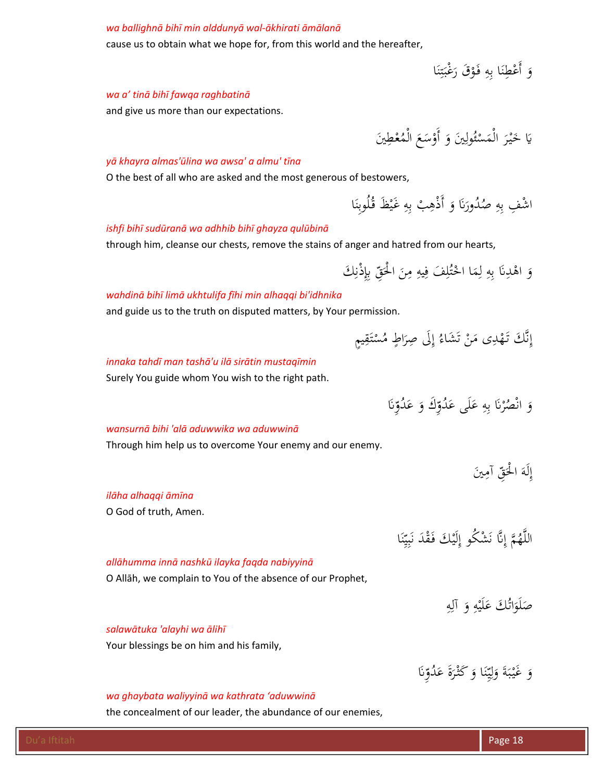#### *wa ballighnā bihī min alddunyā wal‐ākhirati āmālanā*

cause us to obtain what we hope for, from this world and the hereafter,

وَ أَعْطِنَا بِهِ فَوْقَ رَغْبَتِنَا ن  $\ddot{z}$ :<br>.<br>.  $\ddot{\cdot}$  $\ddot{\cdot}$ ن ا

## *wa a' tinā bihī fawqa raghbatinā*

and give us more than our expectations.

<u>ِ إِ</u> يَا خَيْرَ الْمَسْئُولِينَ وَ أَوْسَعَ الْمُعْطِينَ ِ ء **ـ** 

#### *yā khayra almas'ūlina wa awsa' a almu' tīna*

O the best of all who are asked and the most generous of bestowers,

اشْفِ بِهِ صُدُورَنَا وَ أَذْهِبْ بِهِ غَيْظَ قُلُوبِنَا  $\ddot{\phantom{0}}$ ِ ِ َ :<br>.

#### *ishfi bihī sudūranā wa adhhib bihī ghayza qulūbinā*

through him, cleanse our chests, remove the stains of anger and hatred from our hearts,

َ ا ِن ِ م ِيه ِ َف ف ل ُ ْت ا اخ َ ِم ِ ل ِه َ ب ʭِ ْد َ اه ِ َك و ِ ْذن ϵِ ِ ّ َق ْلح

#### *wahdinā bihī limā ukhtulifa fīhi min alhaqqi bi'idhnika*

and guide us to the truth on disputed matters, by Your permission.

ِ ٍيم َق ت ْ ُس ٍ اط م َ َِلى ِصر ُ إ َ َشاء ْ ت َن ِى م ْد َه َّ َك تـ ن ِ إ

#### *innaka tahdī man tashā'u ilā sirātin mustaqīmin*

Surely You guide whom You wish to the right path.

َ ʭِ ّ ُو َد َ ع ِ َك و ّ ُو َد َى ع ل َ ِ ع ِه َ ب ʭْ ُر ْص َ ان و

# *wansurnā bihi 'alā aduwwika wa aduwwinā*

Through him help us to overcome Your enemy and our enemy.

|                       | إِلَهَ الْحَقِّ آمِينَ                               |
|-----------------------|------------------------------------------------------|
| ilāha alhaqqi āmīna   |                                                      |
| O God of truth, Amen. |                                                      |
|                       | اللَّهُمَّ إِنَّا نَشْكُو إِلَيْكَ فَقْدَ نَبِيِّنَا |

#### *allāhumma innā nashkū ilayka faqda nabiyyinā*

O Allāh, we complain to You of the absence of our Prophet,

ِ صَلَوَاتُكَ عَلَيْهِ وَ آلِهِ ٍ<br>ل **∶ ء** َ  $\ddot{\phantom{0}}$ 

وَ غَيْبَةَ وَلِيِّنَا وَ كَثْرَةَ عَدُوِّنَا

.<br>. ي ِ<br>ل ا َ  $\ddot{\cdot}$ ب **∶** 

ر<br>.

نا<br>نا

#### *salawātuka 'alayhi wa ālihī*

Your blessings be on him and his family,

#### *wa ghaybata waliyyinā wa kathrata 'aduwwinā*

the concealment of our leader, the abundance of our enemies,